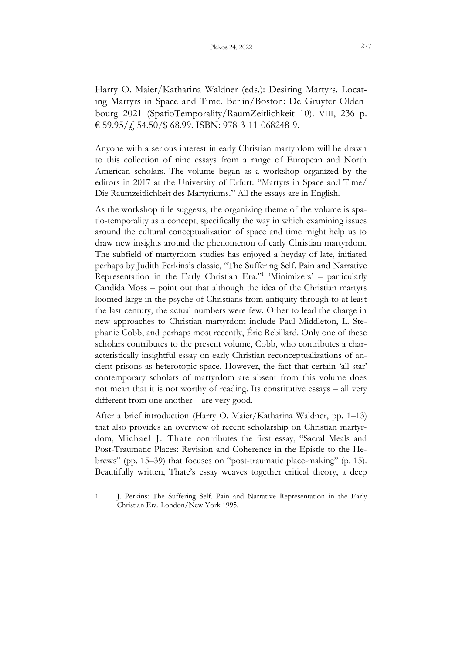Harry O. Maier/Katharina Waldner (eds.): Desiring Martyrs. Locating Martyrs in Space and Time. Berlin/Boston: De Gruyter Oldenbourg 2021 (SpatioTemporality/RaumZeitlichkeit 10). VIII, 236 p. € 59.95/ $\angle$  54.50/\$ 68.99. ISBN: 978-3-11-068248-9.

Anyone with a serious interest in early Christian martyrdom will be drawn to this collection of nine essays from a range of European and North American scholars. The volume began as a workshop organized by the editors in 2017 at the University of Erfurt: "Martyrs in Space and Time/ Die Raumzeitlichkeit des Martyriums." All the essays are in English.

As the workshop title suggests, the organizing theme of the volume is spatio-temporality as a concept, specifically the way in which examining issues around the cultural conceptualization of space and time might help us to draw new insights around the phenomenon of early Christian martyrdom. The subfield of martyrdom studies has enjoyed a heyday of late, initiated perhaps by Judith Perkins's classic, "The Suffering Self. Pain and Narrative Representation in the Early Christian Era." 1 'Minimizers' – particularly Candida Moss – point out that although the idea of the Christian martyrs loomed large in the psyche of Christians from antiquity through to at least the last century, the actual numbers were few. Other to lead the charge in new approaches to Christian martyrdom include Paul Middleton, L. Stephanie Cobb, and perhaps most recently, Éric Rebillard. Only one of these scholars contributes to the present volume, Cobb, who contributes a characteristically insightful essay on early Christian reconceptualizations of ancient prisons as heterotopic space. However, the fact that certain 'all-star' contemporary scholars of martyrdom are absent from this volume does not mean that it is not worthy of reading. Its constitutive essays – all very different from one another – are very good.

After a brief introduction (Harry O. Maier/Katharina Waldner, pp. 1–13) that also provides an overview of recent scholarship on Christian martyrdom, Michael J. Thate contributes the first essay, "Sacral Meals and Post-Traumatic Places: Revision and Coherence in the Epistle to the Hebrews" (pp. 15–39) that focuses on "post-traumatic place-making" (p. 15). Beautifully written, Thate's essay weaves together critical theory, a deep

<sup>1</sup> J. Perkins: The Suffering Self. Pain and Narrative Representation in the Early Christian Era. London/New York 1995.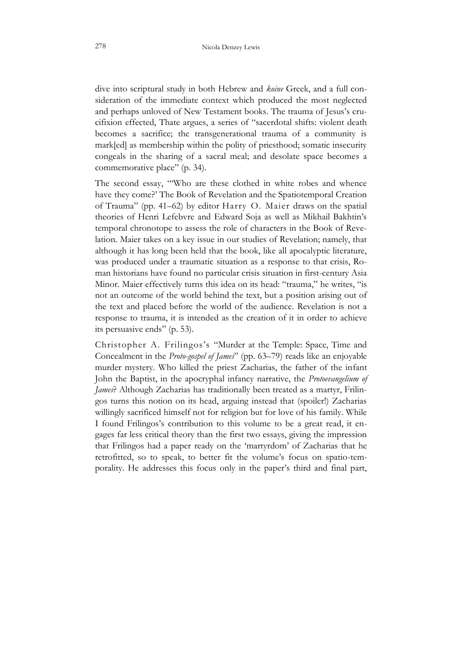dive into scriptural study in both Hebrew and *koine* Greek, and a full consideration of the immediate context which produced the most neglected and perhaps unloved of New Testament books. The trauma of Jesus's crucifixion effected, Thate argues, a series of "sacerdotal shifts: violent death becomes a sacrifice; the transgenerational trauma of a community is mark[ed] as membership within the polity of priesthood; somatic insecurity congeals in the sharing of a sacral meal; and desolate space becomes a commemorative place" (p. 34).

The second essay, "'Who are these clothed in white robes and whence have they come?' The Book of Revelation and the Spatiotemporal Creation of Trauma" (pp. 41–62) by editor Harry O. Maier draws on the spatial theories of Henri Lefebvre and Edward Soja as well as Mikhail Bakhtin's temporal chronotope to assess the role of characters in the Book of Revelation. Maier takes on a key issue in our studies of Revelation; namely, that although it has long been held that the book, like all apocalyptic literature, was produced under a traumatic situation as a response to that crisis, Roman historians have found no particular crisis situation in first-century Asia Minor. Maier effectively turns this idea on its head: "trauma," he writes, "is not an outcome of the world behind the text, but a position arising out of the text and placed before the world of the audience. Revelation is not a response to trauma, it is intended as the creation of it in order to achieve its persuasive ends" (p. 53).

Christopher A. Frilingos's "Murder at the Temple: Space, Time and Concealment in the *Proto-gospel of James*" (pp. 63–79) reads like an enjoyable murder mystery. Who killed the priest Zacharias, the father of the infant John the Baptist, in the apocryphal infancy narrative, the *Protoevangelium of James*? Although Zacharias has traditionally been treated as a martyr, Frilingos turns this notion on its head, arguing instead that (spoiler!) Zacharias willingly sacrificed himself not for religion but for love of his family. While I found Frilingos's contribution to this volume to be a great read, it engages far less critical theory than the first two essays, giving the impression that Frilingos had a paper ready on the 'martyrdom' of Zacharias that he retrofitted, so to speak, to better fit the volume's focus on spatio-temporality. He addresses this focus only in the paper's third and final part,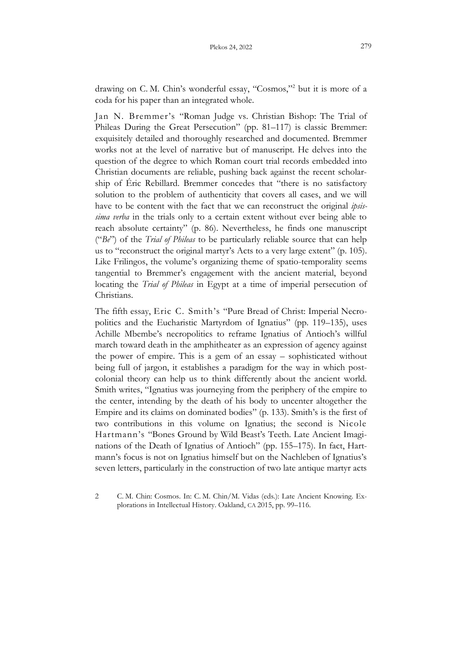drawing on C. M. Chin's wonderful essay, "Cosmos,"<sup>2</sup> but it is more of a coda for his paper than an integrated whole.

Jan N. Bremmer's "Roman Judge vs. Christian Bishop: The Trial of Phileas During the Great Persecution" (pp. 81–117) is classic Bremmer: exquisitely detailed and thoroughly researched and documented. Bremmer works not at the level of narrative but of manuscript. He delves into the question of the degree to which Roman court trial records embedded into Christian documents are reliable, pushing back against the recent scholarship of Éric Rebillard. Bremmer concedes that "there is no satisfactory solution to the problem of authenticity that covers all cases, and we will have to be content with the fact that we can reconstruct the original *ipsissima verba* in the trials only to a certain extent without ever being able to reach absolute certainty" (p. 86). Nevertheless, he finds one manuscript ("*Be*") of the *Trial of Phileas* to be particularly reliable source that can help us to "reconstruct the original martyr's Acts to a very large extent" (p. 105). Like Frilingos, the volume's organizing theme of spatio-temporality seems tangential to Bremmer's engagement with the ancient material, beyond locating the *Trial of Phileas* in Egypt at a time of imperial persecution of Christians.

The fifth essay, Eric C. Smith's "Pure Bread of Christ: Imperial Necropolitics and the Eucharistic Martyrdom of Ignatius" (pp. 119–135), uses Achille Mbembe's necropolitics to reframe Ignatius of Antioch's willful march toward death in the amphitheater as an expression of agency against the power of empire. This is a gem of an essay – sophisticated without being full of jargon, it establishes a paradigm for the way in which postcolonial theory can help us to think differently about the ancient world. Smith writes, "Ignatius was journeying from the periphery of the empire to the center, intending by the death of his body to uncenter altogether the Empire and its claims on dominated bodies" (p. 133). Smith's is the first of two contributions in this volume on Ignatius; the second is Nicole Hartmann's "Bones Ground by Wild Beast's Teeth. Late Ancient Imaginations of the Death of Ignatius of Antioch" (pp. 155–175). In fact, Hartmann's focus is not on Ignatius himself but on the Nachleben of Ignatius's seven letters, particularly in the construction of two late antique martyr acts

<sup>2</sup> C. M. Chin: Cosmos. In: C. M. Chin/M. Vidas (eds.): Late Ancient Knowing. Explorations in Intellectual History. Oakland, CA 2015, pp. 99–116.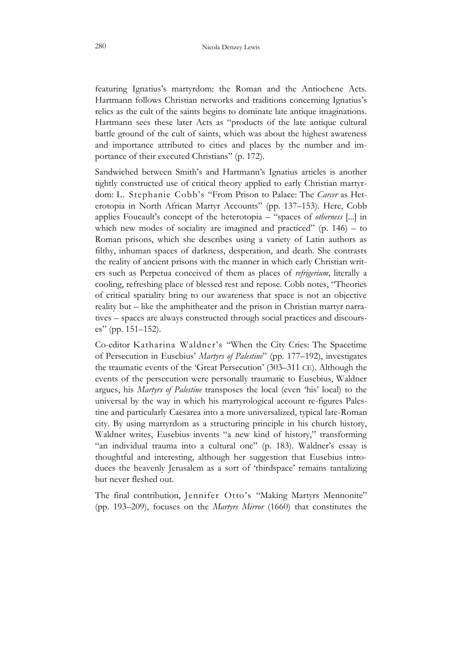featuring Ignatius's martyrdom: the Roman and the Antiochene Acts. Hartmann follows Christian networks and traditions concerning Ignatius's relics as the cult of the saints begins to dominate late antique imaginations. Hartmann sees these later Acts as "products of the late antique cultural battle ground of the cult of saints, which was about the highest awareness and importance attributed to cities and places by the number and importance of their executed Christians" (p. 172).

Sandwiched between Smith's and Hartmann's Ignatius articles is another tightly constructed use of critical theory applied to early Christian martyrdom: L. Stephanie Cobb's "From Prison to Palace: The *Carcer* as Heterotopia in North African Martyr Accounts" (pp. 137–153). Here, Cobb applies Foucault's concept of the heterotopia – "spaces of *otherness* [...] in which new modes of sociality are imagined and practiced"  $(p. 146) - to$ Roman prisons, which she describes using a variety of Latin authors as filthy, inhuman spaces of darkness, desperation, and death. She contrasts the reality of ancient prisons with the manner in which early Christian writers such as Perpetua conceived of them as places of *refrigerium*, literally a cooling, refreshing place of blessed rest and repose. Cobb notes, "Theories of critical spatiality bring to our awareness that space is not an objective reality but – like the amphitheater and the prison in Christian martyr narratives – spaces are always constructed through social practices and discourses" (pp. 151–152).

Co-editor Katharina Waldner's "When the City Cries: The Spacetime of Persecution in Eusebius' *Martyrs of Palestine*" (pp. 177–192), investigates the traumatic events of the 'Great Persecution' (303–311 CE). Although the events of the persecution were personally traumatic to Eusebius, Waldner argues, his *Martyrs of Palestine* transposes the local (even 'his' local) to the universal by the way in which his martyrological account re-figures Palestine and particularly Caesarea into a more universalized, typical late-Roman city. By using martyrdom as a structuring principle in his church history, Waldner writes, Eusebius invents "a new kind of history," transforming "an individual trauma into a cultural one" (p. 183). Waldner's essay is thoughtful and interesting, although her suggestion that Eusebius introduces the heavenly Jerusalem as a sort of 'thirdspace' remains tantalizing but never fleshed out.

The final contribution, Jennifer Otto's "Making Martyrs Mennonite" (pp. 193–209), focuses on the *Martyrs Mirror* (1660) that constitutes the